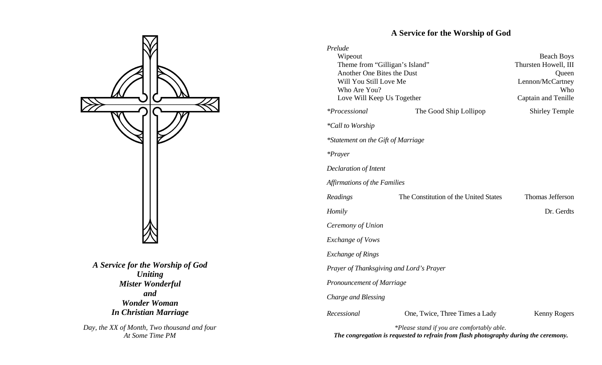

*A Service for the Worship of God Uniting Mister Wonderful and Wonder Woman In Christian Marriage*

*Day, the XX of Month, Two thousand and four* the *thous the SX of Month, Two thousand and four* the composition of the congregation is requested to refrain from flash photography able.

## **A Service for the Worship of God**

| Prelude                                                      |                                       |                                           |  |  |  |
|--------------------------------------------------------------|---------------------------------------|-------------------------------------------|--|--|--|
| Wipeout                                                      |                                       | <b>Beach Boys</b><br>Thursten Howell, III |  |  |  |
| Theme from "Gilligan's Island"<br>Another One Bites the Dust |                                       | Queen                                     |  |  |  |
| Will You Still Love Me                                       |                                       | Lennon/McCartney                          |  |  |  |
| Who Are You?                                                 |                                       | Who                                       |  |  |  |
| Love Will Keep Us Together                                   |                                       | Captain and Tenille                       |  |  |  |
| <i>*Processional</i>                                         | The Good Ship Lollipop                | <b>Shirley Temple</b>                     |  |  |  |
| <i>*Call to Worship</i>                                      |                                       |                                           |  |  |  |
| *Statement on the Gift of Marriage                           |                                       |                                           |  |  |  |
| $*Praver$                                                    |                                       |                                           |  |  |  |
| <b>Declaration of Intent</b>                                 |                                       |                                           |  |  |  |
| Affirmations of the Families                                 |                                       |                                           |  |  |  |
| Readings                                                     | The Constitution of the United States | Thomas Jefferson                          |  |  |  |
| Homily                                                       |                                       | Dr. Gerdts                                |  |  |  |
| Ceremony of Union                                            |                                       |                                           |  |  |  |
| <b>Exchange of Vows</b>                                      |                                       |                                           |  |  |  |
| <b>Exchange of Rings</b>                                     |                                       |                                           |  |  |  |
| Prayer of Thanksgiving and Lord's Prayer                     |                                       |                                           |  |  |  |
| Pronouncement of Marriage                                    |                                       |                                           |  |  |  |
|                                                              |                                       |                                           |  |  |  |
| Charge and Blessing                                          |                                       |                                           |  |  |  |
| Recessional                                                  | One, Twice, Three Times a Lady        | Kenny Rogers                              |  |  |  |

*The congregation is requested to refrain from flash photography during the ceremony.*